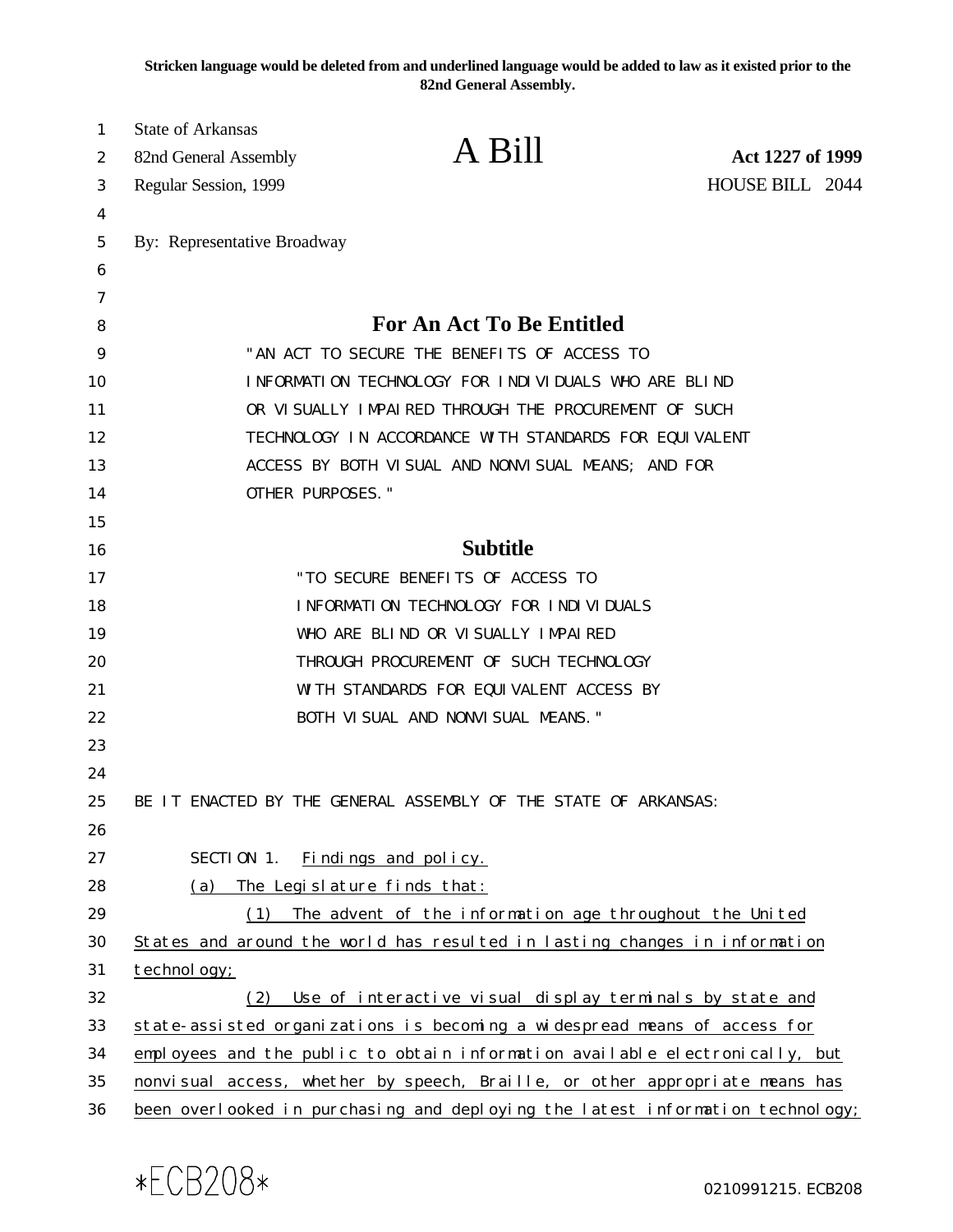**Stricken language would be deleted from and underlined language would be added to law as it existed prior to the 82nd General Assembly.**

| 1  | State of Arkansas                                                         |                                                                                |                  |
|----|---------------------------------------------------------------------------|--------------------------------------------------------------------------------|------------------|
| 2  | 82nd General Assembly                                                     | A Bill                                                                         | Act 1227 of 1999 |
| 3  | Regular Session, 1999                                                     |                                                                                | HOUSE BILL 2044  |
| 4  |                                                                           |                                                                                |                  |
| 5  | By: Representative Broadway                                               |                                                                                |                  |
| 6  |                                                                           |                                                                                |                  |
| 7  |                                                                           |                                                                                |                  |
| 8  |                                                                           | <b>For An Act To Be Entitled</b>                                               |                  |
| 9  | "AN ACT TO SECURE THE BENEFITS OF ACCESS TO                               |                                                                                |                  |
| 10 | INFORMATION TECHNOLOGY FOR INDIVIDUALS WHO ARE BLIND                      |                                                                                |                  |
| 11 | OR VI SUALLY IMPAIRED THROUGH THE PROCUREMENT OF SUCH                     |                                                                                |                  |
| 12 |                                                                           | TECHNOLOGY IN ACCORDANCE WITH STANDARDS FOR EQUIVALENT                         |                  |
| 13 |                                                                           | ACCESS BY BOTH VISUAL AND NONVISUAL MEANS; AND FOR                             |                  |
| 14 | OTHER PURPOSES."                                                          |                                                                                |                  |
| 15 |                                                                           |                                                                                |                  |
| 16 |                                                                           | <b>Subtitle</b>                                                                |                  |
| 17 |                                                                           | "TO SECURE BENEFITS OF ACCESS TO                                               |                  |
| 18 |                                                                           | INFORMATION TECHNOLOGY FOR INDIVIDUALS                                         |                  |
| 19 |                                                                           | WHO ARE BLIND OR VISUALLY IMPAIRED                                             |                  |
| 20 |                                                                           | THROUGH PROCUREMENT OF SUCH TECHNOLOGY                                         |                  |
| 21 |                                                                           | WITH STANDARDS FOR EQUIVALENT ACCESS BY                                        |                  |
| 22 |                                                                           | BOTH VISUAL AND NONVISUAL MEANS."                                              |                  |
| 23 |                                                                           |                                                                                |                  |
| 24 |                                                                           |                                                                                |                  |
| 25 |                                                                           | BE IT ENACTED BY THE GENERAL ASSEMBLY OF THE STATE OF ARKANSAS:                |                  |
| 26 |                                                                           |                                                                                |                  |
| 27 | SECTION 1.                                                                | Findings and policy.                                                           |                  |
| 28 | (a)                                                                       | The Legislature finds that:                                                    |                  |
| 29 | (1)                                                                       | The advent of the information age throughout the United                        |                  |
| 30 |                                                                           | States and around the world has resulted in lasting changes in information     |                  |
| 31 | technol ogy;                                                              |                                                                                |                  |
| 32 | (2)                                                                       | Use of interactive visual display terminals by state and                       |                  |
| 33 | state-assisted organizations is becoming a widespread means of access for |                                                                                |                  |
| 34 |                                                                           | employees and the public to obtain information available electronically, but   |                  |
| 35 |                                                                           | nonvisual access, whether by speech, Braille, or other appropriate means has   |                  |
| 36 |                                                                           | been overlooked in purchasing and deploying the latest information technology; |                  |

0210991215.ECB208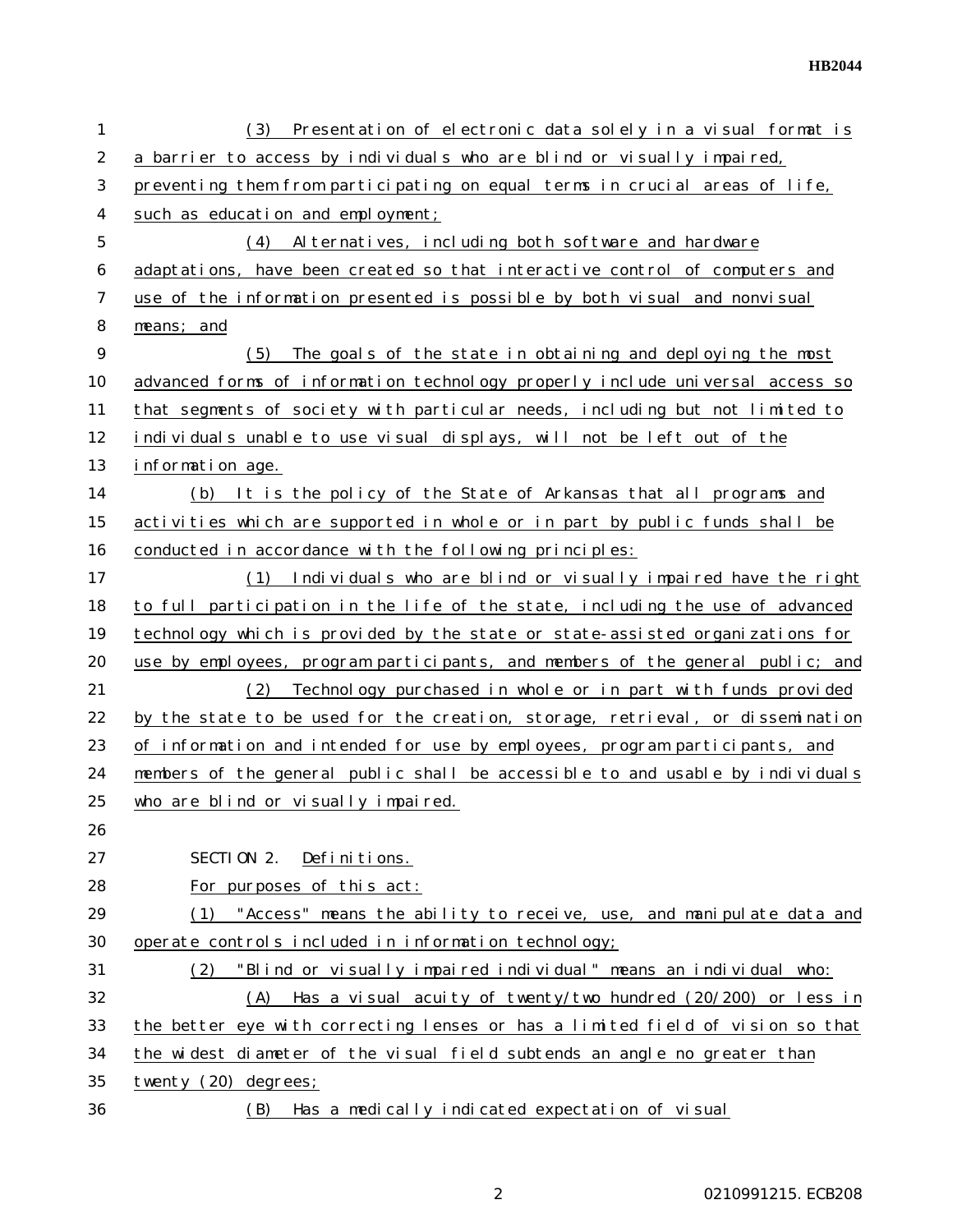**HB2044**

| $\mathbf{1}$   | Presentation of electronic data solely in a visual format is<br>(3)            |  |  |  |  |
|----------------|--------------------------------------------------------------------------------|--|--|--|--|
| $\overline{2}$ | a barrier to access by individuals who are blind or visually impaired,         |  |  |  |  |
| 3              | preventing them from participating on equal terms in crucial areas of life,    |  |  |  |  |
| 4              | such as education and employment;                                              |  |  |  |  |
| 5              | Al ternatives, including both software and hardware<br>(4)                     |  |  |  |  |
| 6              | adaptations, have been created so that interactive control of computers and    |  |  |  |  |
| 7              | use of the information presented is possible by both visual and nonvisual      |  |  |  |  |
| 8              | $means;$ and                                                                   |  |  |  |  |
| 9              | (5)<br>The goals of the state in obtaining and deploying the most              |  |  |  |  |
| 10             | advanced forms of information technology properly include universal access so  |  |  |  |  |
| 11             | that segments of society with particular needs, including but not limited to   |  |  |  |  |
| 12             | individuals unable to use visual displays, will not be left out of the         |  |  |  |  |
| 13             | information age.                                                               |  |  |  |  |
| 14             | (b) It is the policy of the State of Arkansas that all programs and            |  |  |  |  |
| 15             | activities which are supported in whole or in part by public funds shall be    |  |  |  |  |
| 16             | conducted in accordance with the following principles:                         |  |  |  |  |
| 17             | (1) Individuals who are blind or visually impaired have the right              |  |  |  |  |
| 18             | to full participation in the life of the state, including the use of advanced  |  |  |  |  |
| 19             | technology which is provided by the state or state-assisted organizations for  |  |  |  |  |
| 20             | use by employees, program participants, and members of the general public; and |  |  |  |  |
| 21             | (2)<br>Technology purchased in whole or in part with funds provided            |  |  |  |  |
| 22             | by the state to be used for the creation, storage, retrieval, or dissemination |  |  |  |  |
| 23             | of information and intended for use by employees, program participants, and    |  |  |  |  |
| 24             | members of the general public shall be accessible to and usable by individuals |  |  |  |  |
| 25             | who are blind or visually impaired.                                            |  |  |  |  |
| 26             |                                                                                |  |  |  |  |
| 27             | SECTION 2. Definitions.                                                        |  |  |  |  |
| 28             | For purposes of this act:                                                      |  |  |  |  |
| 29             | (1) "Access" means the ability to receive, use, and manipulate data and        |  |  |  |  |
| 30             | operate controls included in information technology;                           |  |  |  |  |
| 31             | "Blind or visually impaired individual" means an individual who:<br>(2)        |  |  |  |  |
| 32             | (A) Has a visual acuity of twenty/two hundred (20/200) or less in              |  |  |  |  |
| 33             | the better eye with correcting lenses or has a limited field of vision so that |  |  |  |  |
| 34             | the widest diameter of the visual field subtends an angle no greater than      |  |  |  |  |
| 35             | twenty (20) degrees;                                                           |  |  |  |  |
| 36             | (B)<br>Has a medically indicated expectation of visual                         |  |  |  |  |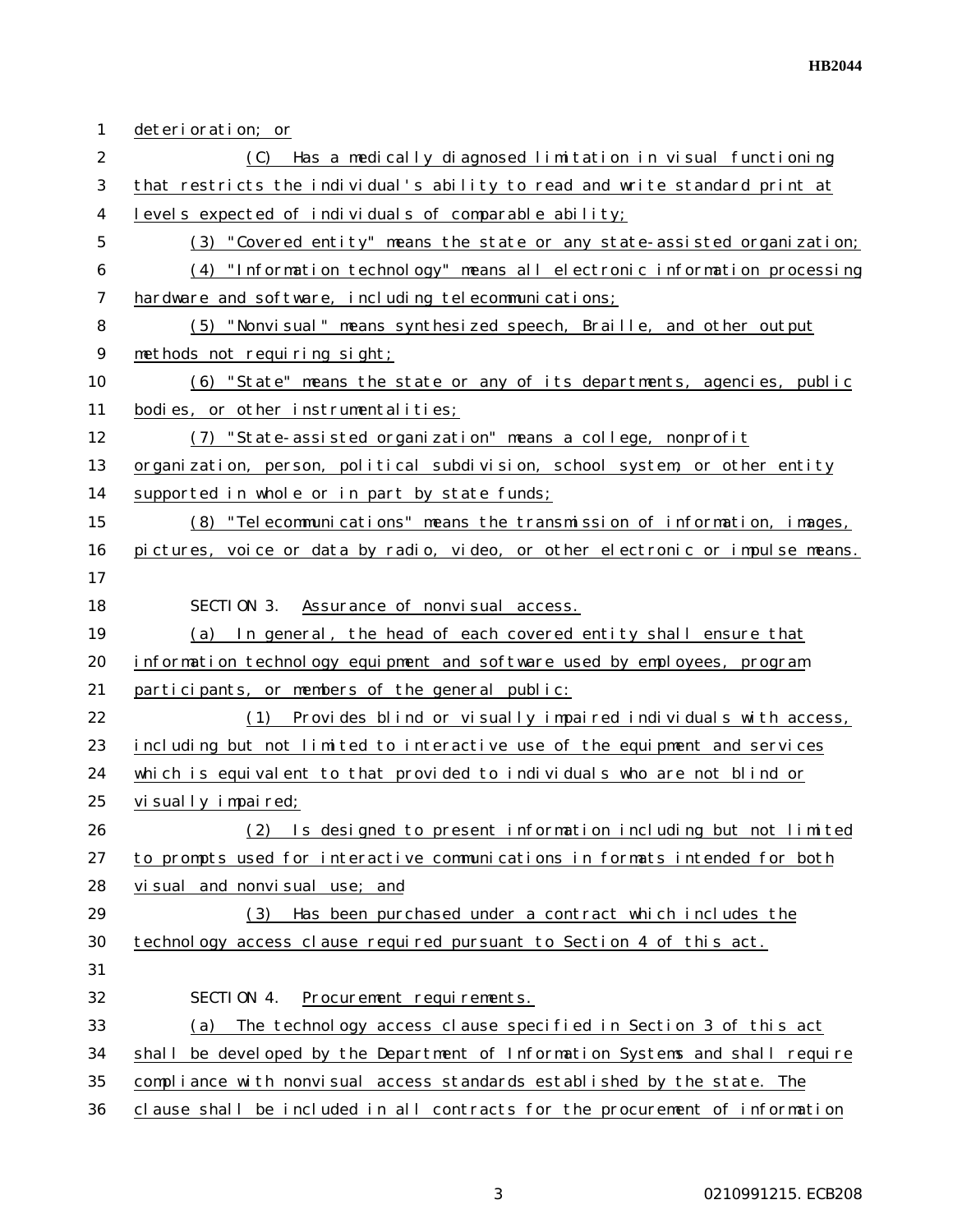| $\mathbf{1}$   | deterioration; or                                                              |  |  |  |
|----------------|--------------------------------------------------------------------------------|--|--|--|
| $\overline{2}$ | Has a medically diagnosed limitation in visual functioning<br>(C)              |  |  |  |
| 3              | that restricts the individual's ability to read and write standard print at    |  |  |  |
| 4              | levels expected of individuals of comparable ability;                          |  |  |  |
| 5              | (3) "Covered entity" means the state or any state-assisted organization;       |  |  |  |
| 6              | (4) "Information technology" means all electronic information processing       |  |  |  |
| 7              | hardware and software, including telecommunications;                           |  |  |  |
| 8              | (5) "Nonvisual" means synthesized speech, Braille, and other output            |  |  |  |
| 9              | methods not requiring sight;                                                   |  |  |  |
| 10             | (6) "State" means the state or any of its departments, agencies, public        |  |  |  |
| 11             | bodies, or other instrumentalities;                                            |  |  |  |
| 12             | (7) "State-assisted organization" means a college, nonprofit                   |  |  |  |
| 13             | organization, person, political subdivision, school system, or other entity    |  |  |  |
| 14             | supported in whole or in part by state funds;                                  |  |  |  |
| 15             | (8) "Telecommunications" means the transmission of information, images,        |  |  |  |
| 16             | pictures, voice or data by radio, video, or other electronic or impulse means. |  |  |  |
| 17             |                                                                                |  |  |  |
| 18             | SECTION 3. Assurance of nonvisual access.                                      |  |  |  |
| 19             | (a) In general, the head of each covered entity shall ensure that              |  |  |  |
| 20             | information technology equipment and software used by employees, program       |  |  |  |
| 21             | participants, or members of the general public:                                |  |  |  |
| 22             | (1)<br>Provides blind or visually impaired individuals with access,            |  |  |  |
| 23             | including but not limited to interactive use of the equipment and services     |  |  |  |
| 24             | which is equivalent to that provided to individuals who are not blind or       |  |  |  |
| 25             | visually impaired;                                                             |  |  |  |
| 26             | Is designed to present information including but not limited<br>(2)            |  |  |  |
| 27             | to prompts used for interactive communications in formats intended for both    |  |  |  |
| 28             | visual and nonvisual use; and                                                  |  |  |  |
| 29             | Has been purchased under a contract which includes the<br>(3)                  |  |  |  |
| 30             | technology access clause required pursuant to Section 4 of this act.           |  |  |  |
| 31             |                                                                                |  |  |  |
| 32             | SECTION 4.<br>Procurement requirements.                                        |  |  |  |
| 33             | The technology access clause specified in Section 3 of this act<br>(a)         |  |  |  |
| 34             | shall be developed by the Department of Information Systems and shall require  |  |  |  |
| 35             | compliance with nonvisual access standards established by the state. The       |  |  |  |
| 36             | clause shall be included in all contracts for the procurement of information   |  |  |  |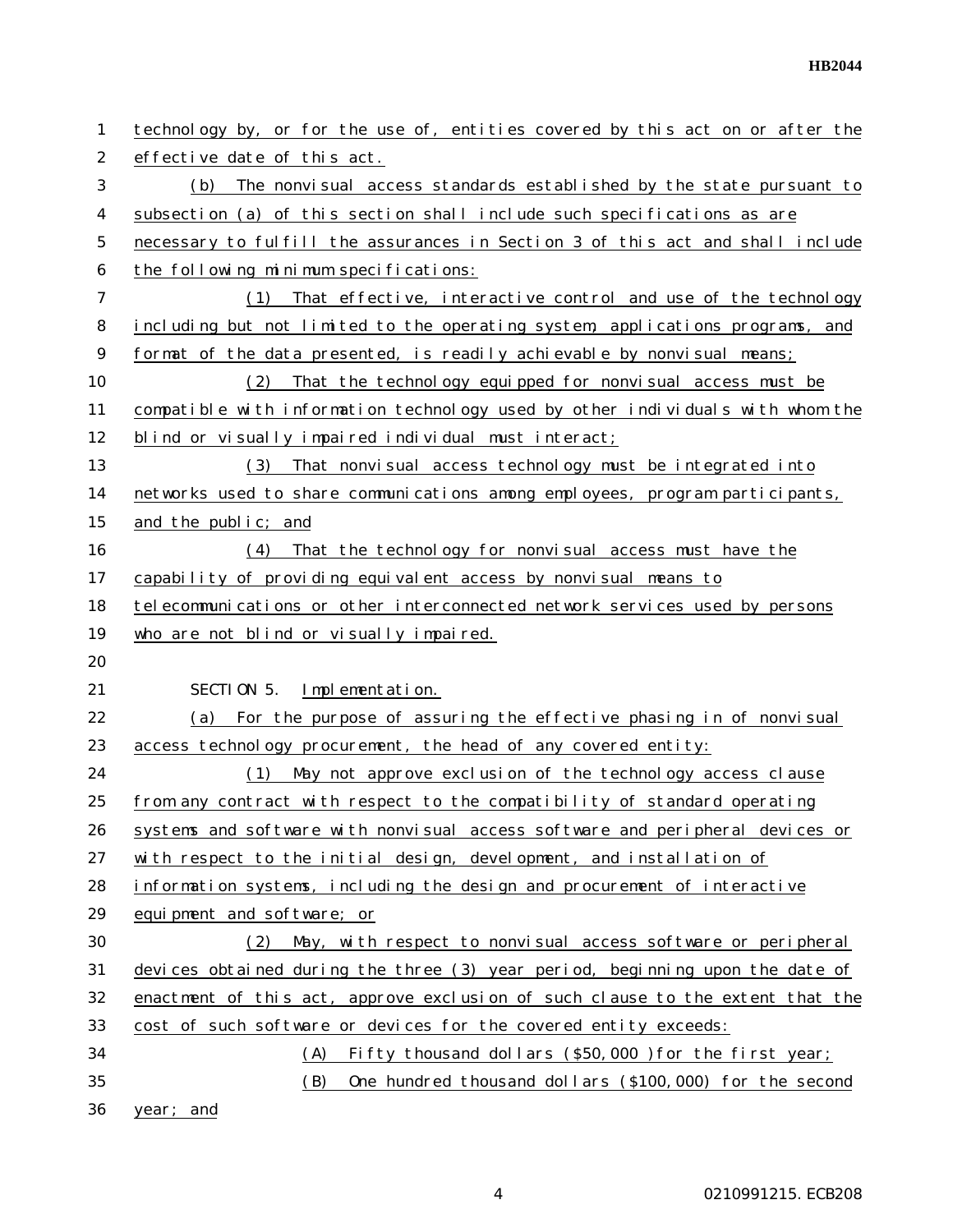**HB2044**

| 1              | technology by, or for the use of, entities covered by this act on or after the |  |  |
|----------------|--------------------------------------------------------------------------------|--|--|
| $\overline{2}$ | effective date of this act.                                                    |  |  |
| 3              | The nonvisual access standards established by the state pursuant to<br>(b)     |  |  |
| 4              | subsection (a) of this section shall include such specifications as are        |  |  |
| 5              | necessary to fulfill the assurances in Section 3 of this act and shall include |  |  |
| 6              | the following minimum specifications:                                          |  |  |
| 7              | That effective, interactive control and use of the technology<br>(1)           |  |  |
| 8              | including but not limited to the operating system, applications programs, and  |  |  |
| 9              | format of the data presented, is readily achievable by nonvisual means;        |  |  |
| 10             | That the technology equipped for nonvisual access must be<br>(2)               |  |  |
| 11             | compatible with information technology used by other individuals with whom the |  |  |
| 12             | blind or visually impaired individual must interact;                           |  |  |
| 13             | That nonvisual access technology must be integrated into<br>(3)                |  |  |
| 14             | networks used to share communications among employees, program participants,   |  |  |
| 15             | and the public; and                                                            |  |  |
| 16             | That the technology for nonvisual access must have the<br>(4)                  |  |  |
| 17             | capability of providing equivalent access by nonvisual means to                |  |  |
| 18             | telecommunications or other interconnected network services used by persons    |  |  |
| 19             | who are not blind or visually impaired.                                        |  |  |
| 20             |                                                                                |  |  |
| 21             | SECTION 5.<br>Implementation.                                                  |  |  |
| 22             | For the purpose of assuring the effective phasing in of nonvisual<br>(a)       |  |  |
| 23             | access technology procurement, the head of any covered entity:                 |  |  |
| 24             | May not approve exclusion of the technology access clause<br>(1)               |  |  |
| 25             | from any contract with respect to the compatibility of standard operating      |  |  |
| 26             | systems and software with nonvisual access software and peripheral devices or  |  |  |
| 27             | with respect to the initial design, development, and installation of           |  |  |
| 28             | information systems, including the design and procurement of interactive       |  |  |
| 29             | equipment and software; or                                                     |  |  |
| 30             | May, with respect to nonvisual access software or peripheral<br>(2)            |  |  |
| 31             | devices obtained during the three (3) year period, beginning upon the date of  |  |  |
| 32             | enactment of this act, approve exclusion of such clause to the extent that the |  |  |
| 33             | cost of such software or devices for the covered entity exceeds:               |  |  |
| 34             |                                                                                |  |  |
|                | (A)<br>Fifty thousand dollars (\$50,000 ) for the first year;                  |  |  |
| 35             | (B)<br>One hundred thousand dollars (\$100,000) for the second                 |  |  |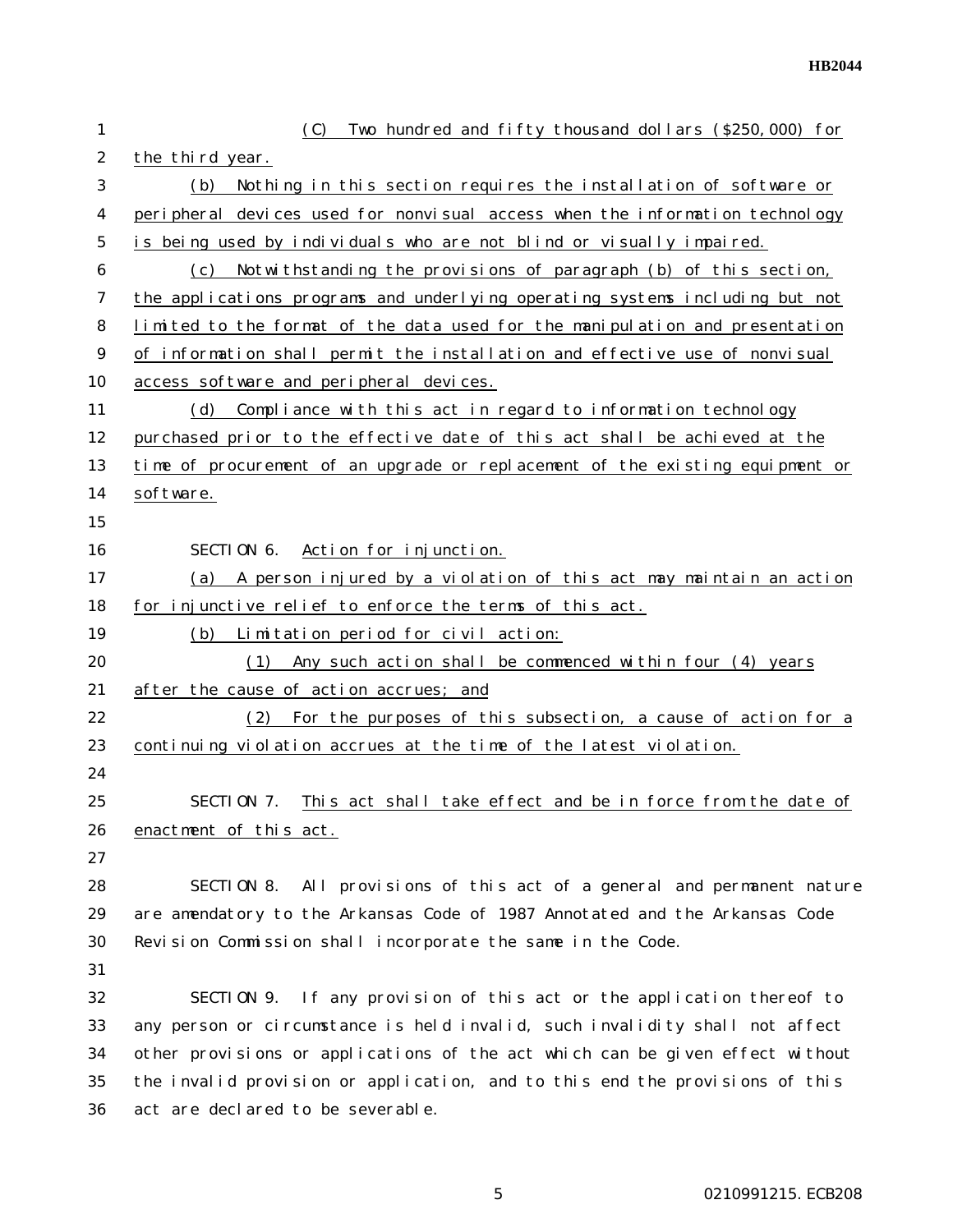| 1              | Two hundred and fifty thousand dollars (\$250,000) for<br>(C)                 |  |  |  |  |  |
|----------------|-------------------------------------------------------------------------------|--|--|--|--|--|
| $\overline{2}$ | the third year.                                                               |  |  |  |  |  |
| 3              | Nothing in this section requires the installation of software or<br>(b)       |  |  |  |  |  |
| 4              | peripheral devices used for nonvisual access when the information technology  |  |  |  |  |  |
| 5              | is being used by individuals who are not blind or visually impaired.          |  |  |  |  |  |
| 6              | Notwi thstanding the provisions of paragraph (b) of this section,<br>(c)      |  |  |  |  |  |
| 7              | the applications programs and underlying operating systems including but not  |  |  |  |  |  |
| 8              | limited to the format of the data used for the manipulation and presentation  |  |  |  |  |  |
| 9              | of information shall permit the installation and effective use of nonvisual   |  |  |  |  |  |
| 10             | access software and peripheral devices.                                       |  |  |  |  |  |
| 11             | (d) Compliance with this act in regard to information technology              |  |  |  |  |  |
| 12             | purchased prior to the effective date of this act shall be achieved at the    |  |  |  |  |  |
| 13             | time of procurement of an upgrade or replacement of the existing equipment or |  |  |  |  |  |
| 14             | software.                                                                     |  |  |  |  |  |
| 15             |                                                                               |  |  |  |  |  |
| 16             | SECTION 6.<br>Action for injunction.                                          |  |  |  |  |  |
| 17             | (a) A person injured by a violation of this act may maintain an action        |  |  |  |  |  |
| 18             | for injunctive relief to enforce the terms of this act.                       |  |  |  |  |  |
| 19             | (b) Limitation period for civil action:                                       |  |  |  |  |  |
| 20             | Any such action shall be commenced within four (4) years<br>(1)               |  |  |  |  |  |
| 21             | after the cause of action accrues; and                                        |  |  |  |  |  |
| 22             | (2) For the purposes of this subsection, a cause of action for a              |  |  |  |  |  |
| 23             | continuing violation accrues at the time of the latest violation.             |  |  |  |  |  |
| 24             |                                                                               |  |  |  |  |  |
| 25             | This act shall take effect and be in force from the date of<br>SECTION 7.     |  |  |  |  |  |
| 26             | enactment of this act.                                                        |  |  |  |  |  |
| 27             |                                                                               |  |  |  |  |  |
| 28             | SECTION 8. All provisions of this act of a general and permanent nature       |  |  |  |  |  |
| 29             | are amendatory to the Arkansas Code of 1987 Annotated and the Arkansas Code   |  |  |  |  |  |
| 30             | Revision Commission shall incorporate the same in the Code.                   |  |  |  |  |  |
| 31             |                                                                               |  |  |  |  |  |
| 32             | SECTION 9. If any provision of this act or the application thereof to         |  |  |  |  |  |
| 33             | any person or circumstance is held invalid, such invalidity shall not affect  |  |  |  |  |  |
| 34             | other provisions or applications of the act which can be given effect without |  |  |  |  |  |
| 35             | the invalid provision or application, and to this end the provisions of this  |  |  |  |  |  |
| 36             | act are declared to be severable.                                             |  |  |  |  |  |